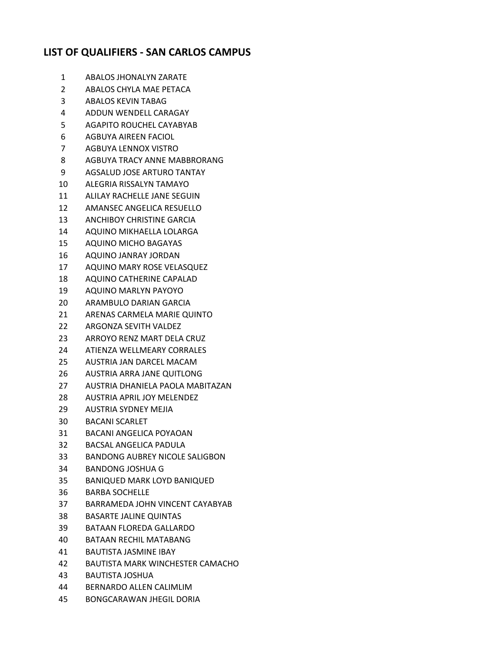## **LIST OF QUALIFIERS - SAN CARLOS CAMPUS**

- ABALOS JHONALYN ZARATE
- ABALOS CHYLA MAE PETACA
- ABALOS KEVIN TABAG
- ADDUN WENDELL CARAGAY
- AGAPITO ROUCHEL CAYABYAB
- AGBUYA AIREEN FACIOL
- AGBUYA LENNOX VISTRO
- AGBUYA TRACY ANNE MABBRORANG
- AGSALUD JOSE ARTURO TANTAY
- ALEGRIA RISSALYN TAMAYO
- ALILAY RACHELLE JANE SEGUIN
- AMANSEC ANGELICA RESUELLO
- ANCHIBOY CHRISTINE GARCIA
- AQUINO MIKHAELLA LOLARGA
- AQUINO MICHO BAGAYAS
- AQUINO JANRAY JORDAN
- AQUINO MARY ROSE VELASQUEZ
- AQUINO CATHERINE CAPALAD
- AQUINO MARLYN PAYOYO
- ARAMBULO DARIAN GARCIA
- ARENAS CARMELA MARIE QUINTO
- ARGONZA SEVITH VALDEZ
- ARROYO RENZ MART DELA CRUZ
- ATIENZA WELLMEARY CORRALES
- AUSTRIA JAN DARCEL MACAM
- AUSTRIA ARRA JANE QUITLONG
- AUSTRIA DHANIELA PAOLA MABITAZAN
- AUSTRIA APRIL JOY MELENDEZ
- AUSTRIA SYDNEY MEJIA
- BACANI SCARLET
- BACANI ANGELICA POYAOAN
- BACSAL ANGELICA PADULA
- BANDONG AUBREY NICOLE SALIGBON
- BANDONG JOSHUA G
- BANIQUED MARK LOYD BANIQUED
- BARBA SOCHELLE
- BARRAMEDA JOHN VINCENT CAYABYAB
- BASARTE JALINE QUINTAS
- BATAAN FLOREDA GALLARDO
- BATAAN RECHIL MATABANG
- BAUTISTA JASMINE IBAY
- BAUTISTA MARK WINCHESTER CAMACHO
- BAUTISTA JOSHUA
- BERNARDO ALLEN CALIMLIM
- BONGCARAWAN JHEGIL DORIA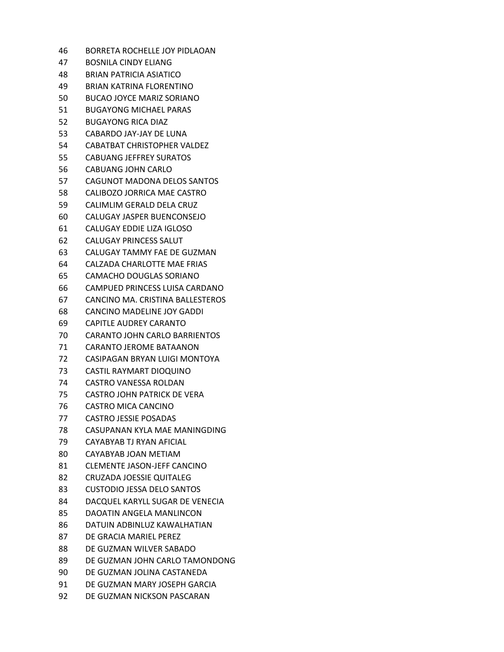| 46 | BORRETA ROCHELLE JOY PIDLAOAN        |
|----|--------------------------------------|
| 47 | BOSNILA CINDY ELIANG                 |
| 48 | <b>BRIAN PATRICIA ASIATICO</b>       |
| 49 | BRIAN KATRINA FLORENTINO             |
| 50 | <b>BUCAO JOYCE MARIZ SORIANO</b>     |
| 51 | <b>BUGAYONG MICHAEL PARAS</b>        |
| 52 | <b>BUGAYONG RICA DIAZ</b>            |
| 53 | CABARDO JAY-JAY DE LUNA              |
| 54 | CABATBAT CHRISTOPHER VALDEZ          |
| 55 | <b>CABUANG JEFFREY SURATOS</b>       |
| 56 | CABUANG JOHN CARLO                   |
| 57 | CAGUNOT MADONA DELOS SANTOS          |
| 58 | CALIBOZO JORRICA MAE CASTRO          |
| 59 | CALIMLIM GERALD DELA CRUZ            |
| 60 | CALUGAY JASPER BUENCONSEJO           |
| 61 | CALUGAY EDDIE LIZA IGLOSO            |
| 62 | CALUGAY PRINCESS SALUT               |
| 63 | CALUGAY TAMMY FAE DE GUZMAN          |
| 64 | CALZADA CHARLOTTE MAE FRIAS          |
| 65 | CAMACHO DOUGLAS SORIANO              |
| 66 | CAMPUED PRINCESS LUISA CARDANO       |
| 67 | CANCINO MA. CRISTINA BALLESTEROS     |
| 68 | CANCINO MADELINE JOY GADDI           |
| 69 | CAPITLE AUDREY CARANTO               |
| 70 | <b>CARANTO JOHN CARLO BARRIENTOS</b> |
| 71 | CARANTO JEROME BATAANON              |
| 72 | CASIPAGAN BRYAN LUIGI MONTOYA        |
| 73 | CASTIL RAYMART DIOQUINO              |
| 74 | CASTRO VANESSA ROLDAN                |
| 75 | CASTRO JOHN PATRICK DE VERA          |
| 76 | CASTRO MICA CANCINO                  |
| 77 | <b>CASTRO JESSIE POSADAS</b>         |
| 78 | CASUPANAN KYLA MAE MANINGDING        |
| 79 | CAYABYAB TJ RYAN AFICIAL             |
| 80 | CAYABYAB JOAN METIAM                 |
| 81 | <b>CLEMENTE JASON-JEFF CANCINO</b>   |
| 82 | <b>CRUZADA JOESSIE QUITALEG</b>      |
| 83 | <b>CUSTODIO JESSA DELO SANTOS</b>    |
| 84 | DACQUEL KARYLL SUGAR DE VENECIA      |
| 85 | DAOATIN ANGELA MANLINCON             |
| 86 | DATUIN ADBINLUZ KAWALHATIAN          |
| 87 | DE GRACIA MARIEL PEREZ               |
| 88 | DE GUZMAN WILVER SABADO              |
| 89 | DE GUZMAN JOHN CARLO TAMONDONG       |
| 90 | DE GUZMAN JOLINA CASTANEDA           |
| 91 | DE GUZMAN MARY JOSEPH GARCIA         |
| 92 | DE GUZMAN NICKSON PASCARAN           |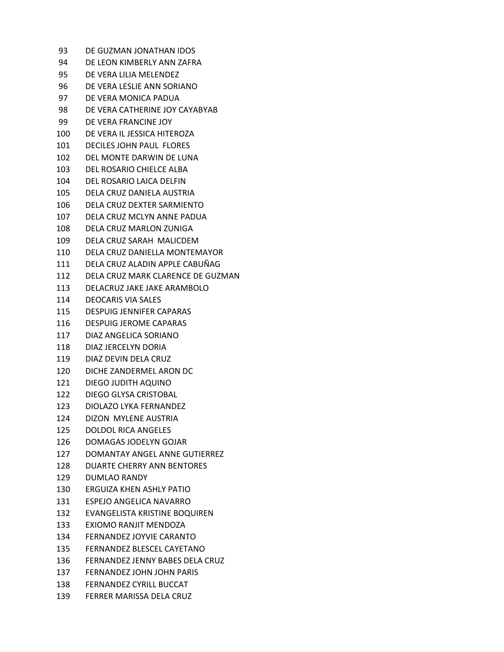| 93    | DE GUZMAN JONATHAN IDOS           |
|-------|-----------------------------------|
| 94    | DE LEON KIMBERLY ANN ZAFRA        |
| 95    | DE VERA LILIA MELENDEZ            |
| 96    | DE VERA LESLIE ANN SORIANO        |
| 97    | DE VERA MONICA PADUA              |
| 98    | DE VERA CATHERINE JOY CAYABYAB    |
| 99    | DE VERA FRANCINE JOY              |
| 100   | DE VERA IL JESSICA HITEROZA       |
| 101   | DECILES JOHN PAUL FLORES          |
| 102   | DEL MONTE DARWIN DE LUNA          |
| 103   | DEL ROSARIO CHIELCE ALBA          |
| 104   | DEL ROSARIO LAICA DELFIN          |
| 105   | DELA CRUZ DANIELA AUSTRIA         |
| 106   | DELA CRUZ DEXTER SARMIENTO        |
| 107   | DELA CRUZ MCLYN ANNE PADUA        |
| 108   | DELA CRUZ MARLON ZUNIGA           |
| 109   | DELA CRUZ SARAH MALICDEM          |
| 110   | DELA CRUZ DANIELLA MONTEMAYOR     |
| 111   | DELA CRUZ ALADIN APPLE CABUÑAG    |
| 112   | DELA CRUZ MARK CLARENCE DE GUZMAN |
| 113   | DELACRUZ JAKE JAKE ARAMBOLO       |
| 114   | <b>DEOCARIS VIA SALES</b>         |
| 115   | DESPUIG JENNIFER CAPARAS          |
| 116   | <b>DESPUIG JEROME CAPARAS</b>     |
| 117   | DIAZ ANGELICA SORIANO             |
| 118   | DIAZ JERCELYN DORIA               |
| 119   | DIAZ DEVIN DELA CRUZ              |
| 120.  | DICHE ZANDERMEL ARON DC           |
| 121 — | DIEGO JUDITH AQUINO               |
| 122   | DIEGO GLYSA CRISTOBAL             |
| 123   | DIOLAZO LYKA FERNANDEZ            |
| 124   | <b>DIZON MYLENE AUSTRIA</b>       |
| 125   | <b>DOLDOL RICA ANGELES</b>        |
| 126   | DOMAGAS JODELYN GOJAR             |
| 127   | DOMANTAY ANGEL ANNE GUTIERREZ     |
| 128   | <b>DUARTE CHERRY ANN BENTORES</b> |
| 129   | <b>DUMLAO RANDY</b>               |
| 130   | <b>ERGUIZA KHEN ASHLY PATIO</b>   |
| 131   | ESPEJO ANGELICA NAVARRO           |
| 132   | EVANGELISTA KRISTINE BOQUIREN     |
| 133   | EXIOMO RANJIT MENDOZA             |
| 134   | FERNANDEZ JOYVIE CARANTO          |
| 135   | FERNANDEZ BLESCEL CAYETANO        |
| 136   | FERNANDEZ JENNY BABES DELA CRUZ   |
| 137   | FERNANDEZ JOHN JOHN PARIS         |
|       | 138 FERNANDEZ CYRILL BUCCAT       |
| 139   | FERRER MARISSA DELA CRUZ          |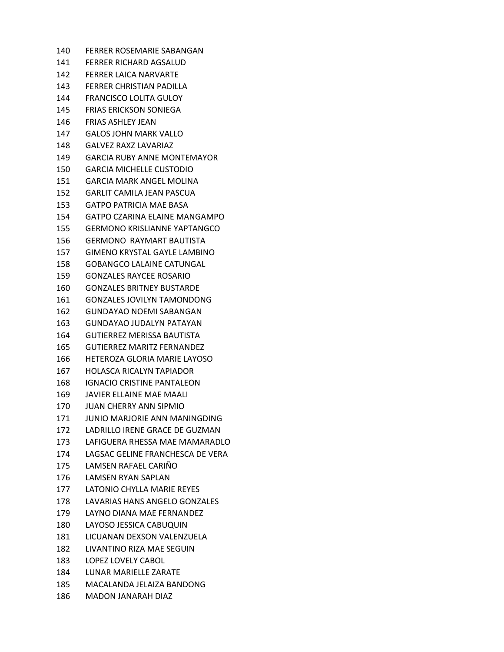FERRER ROSEMARIE SABANGAN FERRER RICHARD AGSALUD FERRER LAICA NARVARTE FERRER CHRISTIAN PADILLA FRANCISCO LOLITA GULOY FRIAS ERICKSON SONIEGA FRIAS ASHLEY JEAN GALOS JOHN MARK VALLO GALVEZ RAXZ LAVARIAZ GARCIA RUBY ANNE MONTEMAYOR GARCIA MICHELLE CUSTODIO GARCIA MARK ANGEL MOLINA GARLIT CAMILA JEAN PASCUA GATPO PATRICIA MAE BASA GATPO CZARINA ELAINE MANGAMPO GERMONO KRISLIANNE YAPTANGCO GERMONO RAYMART BAUTISTA GIMENO KRYSTAL GAYLE LAMBINO GOBANGCO LALAINE CATUNGAL GONZALES RAYCEE ROSARIO GONZALES BRITNEY BUSTARDE GONZALES JOVILYN TAMONDONG GUNDAYAO NOEMI SABANGAN GUNDAYAO JUDALYN PATAYAN GUTIERREZ MERISSA BAUTISTA GUTIERREZ MARITZ FERNANDEZ HETEROZA GLORIA MARIE LAYOSO HOLASCA RICALYN TAPIADOR IGNACIO CRISTINE PANTALEON JAVIER ELLAINE MAE MAALI JUAN CHERRY ANN SIPMIO JUNIO MARJORIE ANN MANINGDING LADRILLO IRENE GRACE DE GUZMAN LAFIGUERA RHESSA MAE MAMARADLO LAGSAC GELINE FRANCHESCA DE VERA LAMSEN RAFAEL CARIÑO LAMSEN RYAN SAPLAN LATONIO CHYLLA MARIE REYES LAVARIAS HANS ANGELO GONZALES LAYNO DIANA MAE FERNANDEZ LAYOSO JESSICA CABUQUIN LICUANAN DEXSON VALENZUELA LIVANTINO RIZA MAE SEGUIN LOPEZ LOVELY CABOL LUNAR MARIELLE ZARATE MACALANDA JELAIZA BANDONG MADON JANARAH DIAZ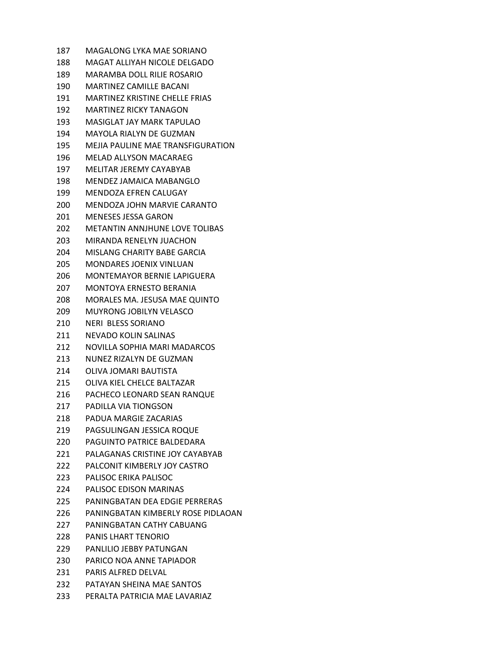| 187   | MAGALONG LYKA MAE SORIANO             |
|-------|---------------------------------------|
| 188.  | MAGAT ALLIYAH NICOLE DELGADO          |
| 189 - | MARAMBA DOLL RILIE ROSARIO            |
| 190   | MARTINEZ CAMILLE BACANI               |
| 191   | <b>MARTINEZ KRISTINE CHELLE FRIAS</b> |
| 192   | MARTINEZ RICKY TANAGON                |
| 193   | MASIGLAT JAY MARK TAPULAO             |
| 194   | <b>MAYOLA RIALYN DE GUZMAN</b>        |
| 195   | MEJIA PAULINE MAE TRANSFIGURATION     |
| 196   | <b>MELAD ALLYSON MACARAEG</b>         |
| 197   | MELITAR JEREMY CAYABYAB               |
| 198   | MENDEZ JAMAICA MABANGLO               |
| 199   | MENDOZA EFREN CALUGAY                 |
| 200   | MENDOZA JOHN MARVIE CARANTO           |
| 201   | <b>MENESES JESSA GARON</b>            |
| 202.  | METANTIN ANNJHUNE LOVE TOLIBAS        |
| 203   | MIRANDA RENELYN JUACHON               |
| 204   | MISLANG CHARITY BABE GARCIA           |
| 205   | MONDARES JOENIX VINLUAN               |
| 206   | MONTEMAYOR BERNIE LAPIGUERA           |
| 207   | MONTOYA ERNESTO BERANIA               |
| 208   | MORALES MA. JESUSA MAE QUINTO         |
| 209   | <b>MUYRONG JOBILYN VELASCO</b>        |
| 210   | <b>NERI BLESS SORIANO</b>             |
| 211   | NEVADO KOLIN SALINAS                  |
| 212   | NOVILLA SOPHIA MARI MADARCOS          |
| 213   | NUNEZ RIZALYN DE GUZMAN               |
| 214   | OLIVA JOMARI BAUTISTA                 |
| 215   | OLIVA KIEL CHELCE BALTAZAR            |
| 216   | PACHECO LEONARD SEAN RANQUE           |
| 217   | PADILLA VIA TIONGSON                  |
| 218   | PADUA MARGIE ZACARIAS                 |
| 219   | PAGSULINGAN JESSICA ROQUE             |
| 220   | PAGUINTO PATRICE BALDEDARA            |
| 221   | PALAGANAS CRISTINE JOY CAYABYAB       |
| 222.  | PALCONIT KIMBERLY JOY CASTRO          |
| 223   | PALISOC ERIKA PALISOC                 |
| 224   | PALISOC EDISON MARINAS                |
| 225   | PANINGBATAN DEA EDGIE PERRERAS        |
| 226   | PANINGBATAN KIMBERLY ROSE PIDLAOAN    |
| 227   | PANINGBATAN CATHY CABUANG             |
| 228   | PANIS LHART TENORIO                   |
| 229   | PANLILIO JEBBY PATUNGAN               |
| 230.  | PARICO NOA ANNE TAPIADOR              |
| 231   | <b>PARIS ALFRED DELVAL</b>            |
| 232   | PATAYAN SHEINA MAE SANTOS             |
| 233   | PERALTA PATRICIA MAE LAVARIAZ         |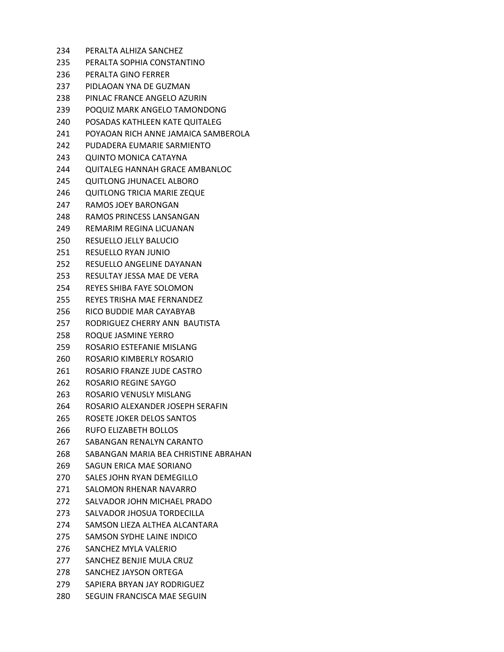| 234  | PERALTA ALHIZA SANCHEZ                |
|------|---------------------------------------|
| 235  | PERALTA SOPHIA CONSTANTINO            |
| 236  | PERALTA GINO FERRER                   |
| 237  | PIDLAOAN YNA DE GUZMAN                |
| 238  | PINLAC FRANCE ANGELO AZURIN           |
| 239  | POQUIZ MARK ANGELO TAMONDONG          |
| 240. | POSADAS KATHLEEN KATE QUITALEG        |
| 241  | POYAOAN RICH ANNE JAMAICA SAMBEROLA   |
| 242. | PUDADERA FUMARIE SARMIENTO            |
| 243. | QUINTO MONICA CATAYNA                 |
| 244  | <b>QUITALEG HANNAH GRACE AMBANLOC</b> |
| 245  | QUITLONG JHUNACEL ALBORO              |
| 246  | <b>QUITLONG TRICIA MARIE ZEQUE</b>    |
| 247  | RAMOS JOEY BARONGAN                   |
| 248. | RAMOS PRINCESS LANSANGAN              |
| 249  | <b>REMARIM REGINA LICUANAN</b>        |
| 250  | RESUELLO JELLY BALUCIO                |
| 251  | <b>RESUELLO RYAN JUNIO</b>            |
| 252  | RESUELLO ANGELINE DAYANAN             |
| 253  | RESULTAY JESSA MAE DE VERA            |
| 254  | REYES SHIBA FAYE SOLOMON              |
| 255  | REYES TRISHA MAE FERNANDEZ            |
| 256  | RICO BUDDIE MAR CAYABYAB              |
| 257  | RODRIGUEZ CHERRY ANN BAUTISTA         |
| 258  | ROQUE JASMINE YERRO                   |
| 259  | ROSARIO ESTEFANIE MISLANG             |
| 260  | ROSARIO KIMBERLY ROSARIO              |
| 261  | ROSARIO FRANZE JUDE CASTRO            |
| 262. | ROSARIO REGINE SAYGO                  |
| 263  | ROSARIO VENUSLY MISLANG               |
| 264  | ROSARIO ALEXANDER JOSEPH SERAFIN      |
| 265  | ROSETE JOKER DELOS SANTOS             |
| 266  | <b>RUFO ELIZABETH BOLLOS</b>          |
| 267  | SABANGAN RENALYN CARANTO              |
| 268  | SABANGAN MARIA BEA CHRISTINE ABRAHAN  |
| 269  | SAGUN ERICA MAE SORIANO               |
| 270  | SALES JOHN RYAN DEMEGILLO             |
| 271  | SALOMON RHENAR NAVARRO                |
| 272  | SALVADOR JOHN MICHAEL PRADO           |
| 273  | SALVADOR JHOSUA TORDECILLA            |
| 274  | SAMSON LIEZA ALTHEA ALCANTARA         |
| 275  | SAMSON SYDHE LAINE INDICO             |
| 276  | SANCHEZ MYLA VALERIO                  |
| 277  | SANCHEZ BENJIE MULA CRUZ              |
| 278  | SANCHEZ JAYSON ORTEGA                 |
| 279  | SAPIERA BRYAN JAY RODRIGUEZ           |
| 280  | SEGUIN FRANCISCA MAE SEGUIN           |